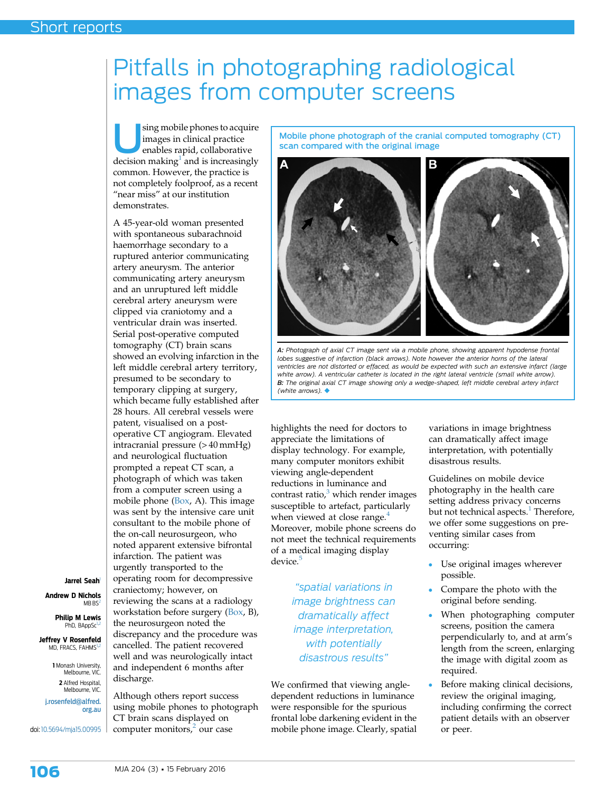## Pitfalls in photographing radiological images from computer screens

sing mobile phones to acquire images in clinical practice enables rapid, collaborative decision making $1$  and is increasingly common. However, the practice is not completely foolproof, as a recent "near miss" at our institution demonstrates.

A 45-year-old woman presented with spontaneous subarachnoid haemorrhage secondary to a ruptured anterior communicating artery aneurysm. The anterior communicating artery aneurysm and an unruptured left middle cerebral artery aneurysm were clipped via craniotomy and a ventricular drain was inserted. Serial post-operative computed tomography (CT) brain scans showed an evolving infarction in the left middle cerebral artery territory, presumed to be secondary to temporary clipping at surgery, which became fully established after 28 hours. All cerebral vessels were patent, visualised on a postoperative CT angiogram. Elevated intracranial pressure (> 40 mmHg) and neurological fluctuation prompted a repeat CT scan, a photograph of which was taken from a computer screen using a mobile phone (Box, A). This image was sent by the intensive care unit consultant to the mobile phone of the on-call neurosurgeon, who noted apparent extensive bifrontal infarction. The patient was urgently transported to the operating room for decompressive craniectomy; however, on reviewing the scans at a radiology workstation before surgery (Box, B), the neurosurgeon noted the discrepancy and the procedure was cancelled. The patient recovered well and was neurologically intact and independent 6 months after discharge.

Although others report success using mobile phones to photograph CT brain scans displayed on computer monitors, $\frac{2}{3}$  $\frac{2}{3}$  $\frac{2}{3}$  our case

Mobile phone photograph of the cranial computed tomography (CT) scan compared with the original image



A: Photograph of axial CT image sent via a mobile phone, showing apparent hypodense frontal lobes suggestive of infarction (black arrows). Note however the anterior horns of the lateral ventricles are not distorted or effaced, as would be expected with such an extensive infarct (large white arrow). A ventricular catheter is located in the right lateral ventricle (small white arrow). B: The original axial CT image showing only a wedge-shaped, left middle cerebral artery infarct (white arrows).  $\blacklozenge$ 

highlights the need for doctors to appreciate the limitations of display technology. For example, many computer monitors exhibit viewing angle-dependent reductions in luminance and contrast ratio, $3$  which render images susceptible to artefact, particularly when viewed at close range.<sup>[4](#page-2-0)</sup> Moreover, mobile phone screens do not meet the technical requirements of a medical imaging display device.<sup>[5](#page-2-0)</sup>

> "spatial variations in image brightness can dramatically affect image interpretation, with potentially disastrous results"

We confirmed that viewing angledependent reductions in luminance were responsible for the spurious frontal lobe darkening evident in the mobile phone image. Clearly, spatial variations in image brightness can dramatically affect image interpretation, with potentially disastrous results.

Guidelines on mobile device photography in the health care setting address privacy concerns but not technical aspects.<sup>[1](#page-2-0)</sup> Therefore, we offer some suggestions on preventing similar cases from occurring:

- Use original images wherever possible.
- Compare the photo with the original before sending.
- When photographing computer screens, position the camera perpendicularly to, and at arm's length from the screen, enlarging the image with digital zoom as required.
- Before making clinical decisions, review the original imaging, including confirming the correct patient details with an observer or peer.

Jarrel Seah<sup>1</sup>

Andrew D Nichols  $MBBS$ 

> Philip M Lewis PhD, BAppSc<sup>1</sup>

Jeffrey V Rosenfeld MD, FRACS, FAHMS<sup>1</sup>

> 1 Monash University, Melbourne, VIC. 2 Alfred Hospital, Melbourne, VIC.

[j.rosenfeld@alfred.](mailto:j.rosenfeld@alfred.org.au) [org.au](mailto:j.rosenfeld@alfred.org.au)

doi: [10.5694/mja15.00995](http://dx.doi.org/10.5694/mja15.00995)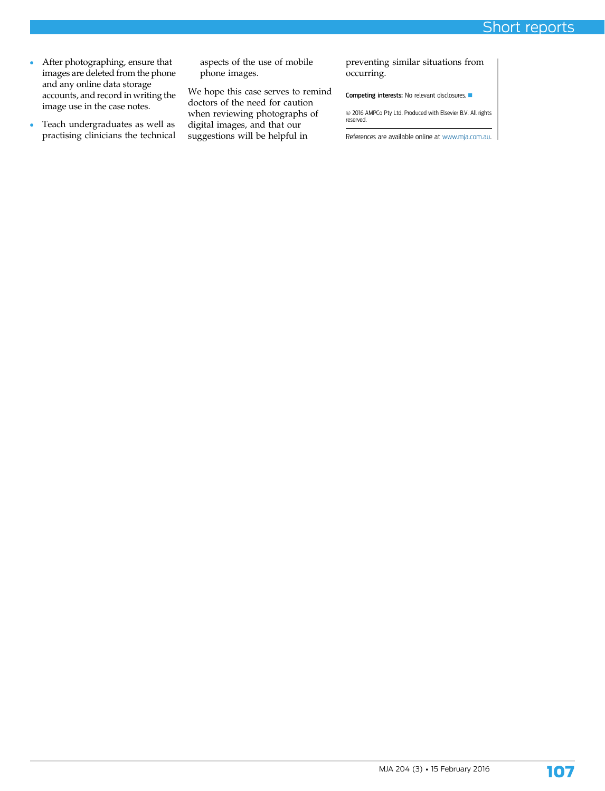- After photographing, ensure that images are deleted from the phone and any online data storage accounts, and record in writing the image use in the case notes.
- Teach undergraduates as well as practising clinicians the technical

aspects of the use of mobile phone images.

We hope this case serves to remind doctors of the need for caution when reviewing photographs of digital images, and that our suggestions will be helpful in

preventing similar situations from occurring.

Competing interests: No relevant disclosures.  $\blacksquare$ 

 $\circledcirc$  2016 AMPCo Pty Ltd. Produced with Elsevier B.V. All rights reserved.

References are available online at [www.mja.com.au.](http://www.mja.com.au)